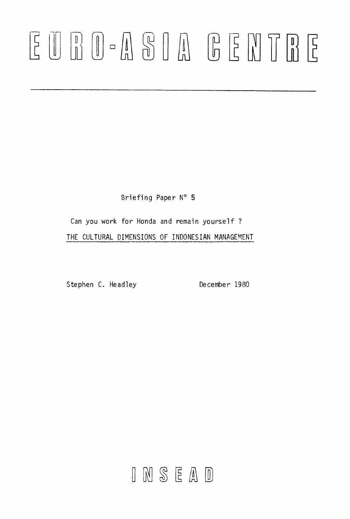# 

Briefing Paper N° 5

Can you work for Honda and remain yourself ? THE CULTURAL DIMENSIONS OF INDONESIAN MANAGEMENT

Stephen C. Headley December 1980

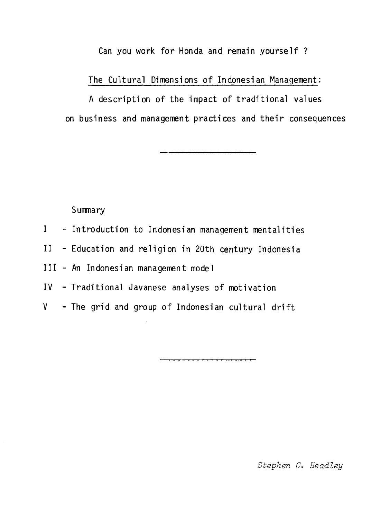Can you work for Honda and remain yourself ?

The Cultural Dimensions of Indonesian Management:

A description of the impact of traditional values on business and management practices and their consequences

**Summary** 

- I Introduction to Indonesian management mentalities
- II Education and religion in 20th century Indonesia

III - An Indonesian management model

- IV Traditional Javanese analyses of motivation
- V The grid and group of Indonesian cultural drift

Stephen C. Headley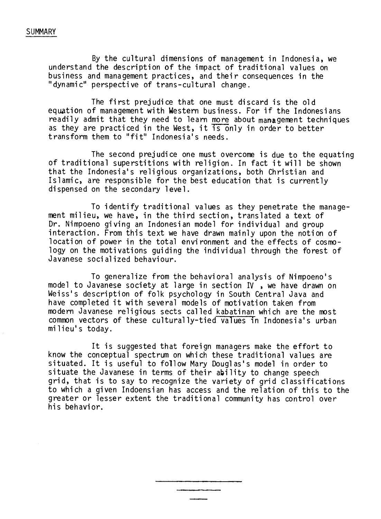#### SUMMARY

By the cultural dimensions of management in Indonesia, we understand the description of the impact of traditional values on business and management practices, and their consequences in the "dynamic" perspective of trans-cultural change.

The first prejudice that one must discard is the old equation of management with Western business. For if the Indonesians readily admit that they need to learn more about management techniques as they are practiced in the West, it is only in order to better transform them to "fit" Indonesia's needs.

The second prejudice one must overcome is due to the equating of traditional superstitions with religion. In fact it will be shown that the Indonesia's religious organizations, both Christian and Islamic, are responsible for the best education that is currently dispensed on the secondary level.

To identify traditional values as they penetrate the management milieu, we have, in the third section, translated a text of Dr. Nimpoeno giving an Indonesian model for individual and group interaction. From this text we have drawn mainly upon the notion of location of power in the total environnent and the effects of cosmology on the motivations guiding the individual through the forest of Javanese socialized behaviour.

To generalize from the behavioral analysis of Nimpoeno's model to Javanese society at large in section IV , we have drawn on Weiss's description of folk psychology in South Central Java and have completed it with several models of motivation taken from modern Javanese religious sects called kabatinan which are the most common vectors of these culturally-tied values in Indonesia's urban milieu's today.

It is suggested that foreign managers make the effort to know the conceptual spectrum on which these traditional values are situated. It is useful to follow Mary Douglas's model in order to situate the Javanese in terms of their ability to change speech grid, that is to say to recognize the variety of grid classifications to which a given Indoensian has access and the relation of this to the greater or lesser extent the traditional community has control over his behavior.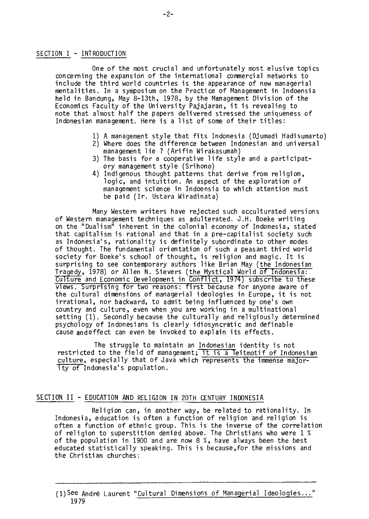#### SECTION I - INTRODUCTION

One of the most crucial and unfortunately most elusive topics concerning the expansion of the international commercial networks to include the third world countries is the appearance of new managerial mentalities. In a symposium on the Practice of Management in Indoensia held in Bandung, May 8-13th, 1978, by the Management Division of the Economics Faculty of the University Pajajaran, it is revealing to note that almost half the papers delivered stressed the uniqueness of Indonesian management. Here is a list of some of their titles:

- 1) A management style that fits Indonesia (Djumadi Hadisumarto)
- 2) Where does the difference between Indonesian and universal management lie ? (Arifin Wirakasumah)
- 3) The basis for a cooperative life style and a participatory management style (Srihono)
- 4) Indigenous thought patterns that derive from religion, logic, and intuition. An aspect of the exploration of management science in Indoensia to which attention must be paid (Ir. Ustara Wiradinata)

Many Western writers have rejected such acculturated versions of Western management techniques as adulterated. J.H. Boeke writing on the "Dualism" inherent in the colonial economy of Indonesia, stated that capitalism is rational and that in a pre-capitalist society such as Indonesia's, rationality is definitely subordinate to other modes of thought. The fundamental orientation of such a peasant third world society for Boeke's school of thought, is religion and magic. It is surprising to see contemporary authors like Brian May (the Indonesian Tragedy, 1978) or Allen N. Sievers (the Mystical World of Indbnesia: Culture and Economic Development in Conflict, 1974) subscribe to these views. Surprising for two reasons: first because for anyone aware of the cultural dimensions of managerial ideologies in Europe, it is not irrational, nor backward, to admit being influenced by one's own country and culture, even when you are working in a multinational setting (1). Secondly because the culturally and religiously determined psychology of Indonesians is clearly idiosyncratic and definable cause andeffect can even be invoked to explain its effects.

The struggle to maintain an Indonesian identity is not restricted to the field of management; it is a leitmotif of Indonesian culture, especially that of Java which represents the immense majority of Indonesia's population.

#### SECTION II - EDUCATION AND RELIGION IN 20TH CENTURY INDONESIA

Religion can, in another way, be related to rationality. In Indonesia, education is often a function of religion and religion is often a function of ethnic group. This is the inverse of the correlation of religion to superstition denied above. The Christians who were 1 % of the population in 1900 and are now 8 %, have always been the best educated statistically speaking. This is because,for the missions and the Christian churches:

<sup>(1)</sup>See André Laurent "Cultural Dimensions of Managerial Ideologies..." 19 79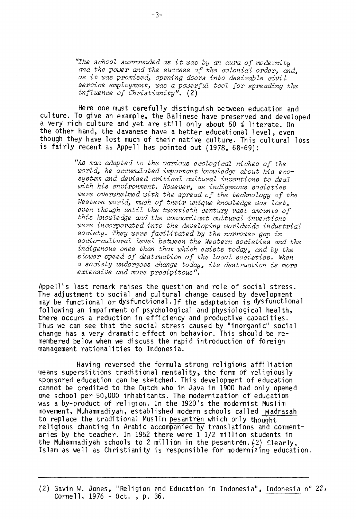"The school surrounded as it was by an aura of modernity and the power and the success of the colonial order, and, as it was promised, opening doors into desirable civil service employment, was a powerful tool for spreading the influence of Christianity". (2)

Here one must carefully distinguish between education and culture. To give an example, the Balinese have preserved and developed a very rich culture and yet are still only about 50 % literate. On the other hand, the Javanese have a better educational level, even though they have lost much of their native culture. This cultural loss is fairly recent as Appell has pointed out (1978, 68-69):

> "As man adapted to the various ecological niches of the world, he accumulated important knowledge about his ecosystem and devised critical cultural inventions to deal with his environment. However, as indigenous societies were overwhelmed with the spread of the technology of the Western world, much of their unique knowledge was lost, even though until the twentieth century vast amounts of this knowledge and the concomitant cultural inventions were incorporated into the developing worldwide industrial society. They were facilitated by the narrower gap in socio-cultural level between the Western societies and the indigenous ones thon that which exists today, and by the slower speed of destruction of the local societies. When a society undergoes change today, its destruction is more extensive and more precipitous".

Appell's last remark raises the question and role of social stress. The adjustment to social and cultural change caused by development may be functional or dysfunctional.If the adaptation is dysfunctional following an impairment of psychological and physiological health, there occurs a réduction in efficiency and productive capacities. Thus we can see that the social stress caused by "inorganic" social change has a very dramatic effect on behavior. This should be remembered below when we discuss the rapid introduction of foreign management rationalities to Indonesia.

Having reversed the formula strong religions affiliation means superstitions traditional mentality, the form of religiously sponsored education can be sketched. This development of education cannot be credited to the Dutch who in Java in 1900 had only opened one school per 50,000 inhabitants. The modernization of education was a by-product of religion. In the 1920's the modernist Muslim movement, Muhammadiyah, established modern schools called madrasah to replace the traditional Muslim pesantrèn which only thouqht religious chanting in Arabic accompanied by translations and commentaries by the teacher. In 1952 there were 1 1/2 million students in the Muhammadiyah schools to 2 million in the pesantrèn.(2) Clearly, Islam as well as Christianity is responsible for modernizing education.

(2) Gavin W. Jones, "Religion and Education in Indonesia", Indonesia n° 22, Cornell, 1976 - Oct. , p. 36.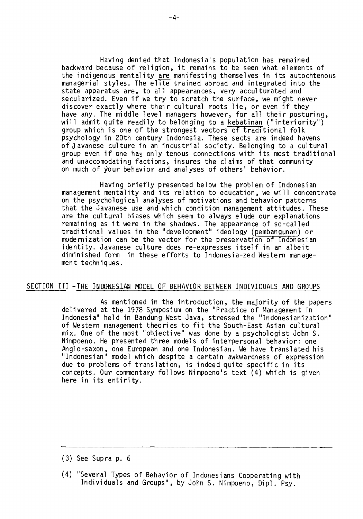Having denied that Indonesia's population has remained backward because of religion, it remains to be seen what elements of the indigenous mentality are manifesting themselves in its autochtenous managerial styles. The elite trained abroad and integrated into the state apparatus are, to all appearances, very acculturated and secularized. Even if we try to scratch the surface, we might never discover exactly where their cultural roots lie, or even if they have any. The middle level managers however, for all their posturing, will admit quite readily to belonging to a kebatinan ("interiority") group which is one of the strongest vectors of traditional folk psychology in 20th century Indonesia. These sects are indeed havens of Javanese culture in an industrial society. Belonging to a cultural group even if one has only tenous connections with its most traditional and unaccomodating factions, insures the claims of that community on much of your behavior and analyses of others' behavior.

Having briefly presented below the problem of Indonesian management mentality and its relation to education, we will concentrate on the psychological analyses of motivations and behavior patterns that the Javanese use and which condition management attitudes. These are the cultural biases which seem to always elude our explanations remaining as it were in the shadows. The appearance of so-called traditional values in the "development" ideology (pembangunan) or modernization can be the vector for the preservation of Indonesian identity. Javanese culture does re-expresses itself in an albeit diminished form in these efforts to Indonesia-zed Western management techniques.

#### SECTION III -THE INDONESIAN MODEL OF BEHAVIOR BETWEEN INDIVIDUALS AND GROUPS

As mentioned in the introduction, the majority of the papers delivered at the 1978 Symposium on the "Practice of Management in Indonesia" held in Bandung West Java, stressed the "Indonesianization" of Western management theories to fit the South-East Asian cultural mix. One of the most "objective" was done by a psychologist John S. Nimpoeno. He presented three models of interpersonal behavior: one Anglo-saxon, one European and one Indonesian. We have translated his "Indonesian" model which despite a certain awkwardness of expression due to problems of translation, is indeed quite specific in its concepts. Our commentary follows Nimpoeno's text (4) which is given here in its entirity.

<sup>(3)</sup> See Supra p. 6

<sup>(4)&</sup>quot;Several Types of Behavior of Indonesians Cooperating with Individuals and Groups", by John S. Nimpoeno, Dipl. Psy.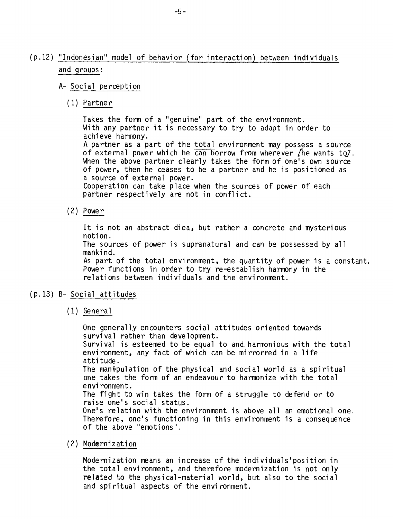# (p.12) "Indonesian" model of behavior (for interaction) between individuals and groups:

## A- Social perception

(1) Partner

Takes the form of a "genuine" part of the environment. With any partner it is necessary to try to adapt in order to achieve harmony. A partner as a part of the total environment may possess a source of external power which he can borrow from wherever  $\Lambda$ he wants to7. When the above partner clearly takes the form of one's own source of power, then he ceases to be a partner and he is positioned as a source of external power. Cooperation can take place when the sources of power of each partner respectively are not in conflict.

(2) Power

It is not an abstract diea, but rather a concrete and mysterious notion. The sources of power is supranatural and can be possessed by ail mankind. As part of the total environment, the quantity of power is a constant. Power functions in order to try re-establish harmony in the relations between individuals and the environment.

#### (p.13) B- Social attitudes

(1) General

One generally encounters social attitudes oriented towards survival rather than development. Survival is esteemed to be equal to and harmonious with the total environment, any fact of which can be mirrorred in a life attitude. The manipulation of the physical and social world as a spiritual one takes the form of an endeavour to harmonize with the total environment. The fight to win takes the form of a struggle to defend or to raise one's social status. One's relation with the environment is above all an emotional one. Therefore, one's functioning in this environment is a consequence of the above "emotions".

(2) Modernization

Modernization means an increase of the individuals'position in the total environment, and therefore modernization is not only related to the physical-material world, but also to the social and spiritual aspects of the environment.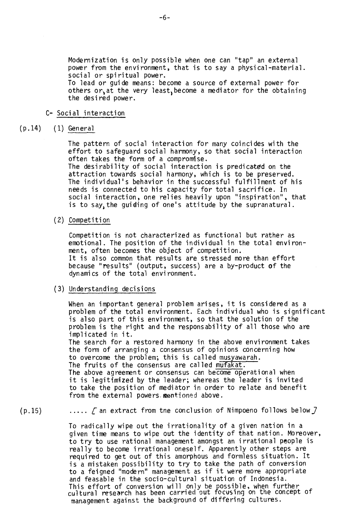Modernization is only possible when one can "tap" an external power from the environment, that is to say a physical-material. social or spiritual power. To lead or guide means: become a source of external power for

others or, at the very least, become a mediator for the obtaining the desired power.

### C- Social interaction

(p.14) (1) General

The pattern of social interaction for many coincides with the effort to safeguard social harmony, so that social interaction often takes the form of a compromise. The desirability of social interaction is predicated on the attraction towards social harmony, which is to be preserved. The individual's behavior in the successful fulfillment of his needs is connected to his capacity for total sacrifice. In social interaction, one relies heavily upon "inspiration", that is to say, the guiding of one's attitude by the supranatural.

(2) Competition

Competition is not characterized as functional but rather as emotional. The position of the individual in the total environment, often becomes the object of competition. It is also common that results are stressed more than effort because "results" (output, success) are a by-product of the dynamics of the total environment.

#### (3) Understanding decisions

When an important general problem arises, it is considered as a problem of the total environment. Each individual who is significant is also part of this environment, so that the solution of the problem is the right and the responsability of all those who are implicated in it. The search for a restored harmony in the above environment takes the form of arranging a consensus of opinions concerning how to overcome the problem; this is called musyawarah. The fruits of the consensus are called mufakat. The above agreement or consensus can become operational when

it is legitimized by the leader; whereas the leader is invited to take the position of mediator in order to relate and benefit from the external powers. mentioned above.

 $(p.15)$  .....  $\Gamma$  an extract from tne conclusion of Nimpoeno follows below  $\Gamma$ 

To radically wipe out the irrationality of a given nation in a given time means to wipe out the identity of that nation. Moreover, to try to use rational management amongst an irrational people is really to become irrational oneself. Apparently other steps are required to get out of this amorphous and formless situation. It is a mistaken possibility to try to take the path of conversion to a feigned "modern" management as if it were more appropriate and feasable in the socio-cultural situation of Indonesia. This effort of conversion will only be possible, when further cultural research has been carried out focusing on the concept of management against the background of differing cultures.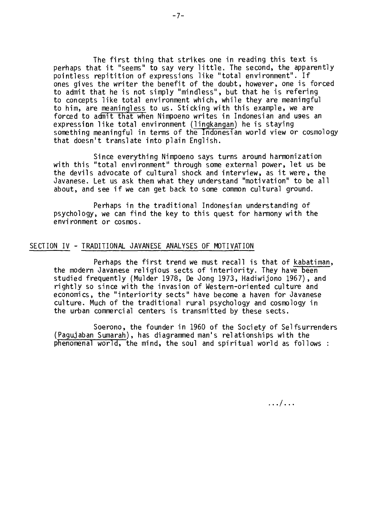The first thing that strikes one in reading this text is perhaps that it "seems" to say very little. The second, the apparently pointless repitition of expressions like "total environment". If ones gives the writer the benefit of the doubt, however, one is forced to admit that he is not simply "mindless", but that he is refering to concepts like total environment which, while they are meaningful to him, are meaningless to us. Sticking with this example, we are forced to admit that when Nimpoeno writes in Indonesian and uses an expression like total environment (lingkangan) he is staying something meaningful in terms of the Indonesian world view or cosmology that doesn't translate into plain English.

Since everything Nimpoeno says turns around harmonization with this "total environment" through some external power, let us be the devils advocate of cultural shock and interview, as it were, the Javanese. Let us ask them what they understand "motivation" to be ail about, and see if we can get back to some common cultural ground.

Perhaps in the traditional Indonesian understanding of psychology, we can find the key to this quest for harmony with the environment or cosmos.

#### SECTION IV - TRADITIONAL JAVANESE ANALYSES OF MOTIVATION

Perhaps the first trend we must recall is that of kabatiman, the modern Javanese religious sects of interiority. They have been studied frequently (Mulder 1978, De Jong 1973, Hadiwijono 1967), and rightly so since with the invasion of Western-oriented culture and economics, the "interiority sects" have become a haven for Javanese culture. Much of the traditional rural psychology and cosmology in the urban commercial centers is transmitted by these sects.

Soerono, the founder in 1960 of the Society of Selfsurrenders (Pagujaban Sumarah), has diagrammed man's relationships with the phenomenal world, the mind, the soul and spiritual world as follows :

. . . / . . .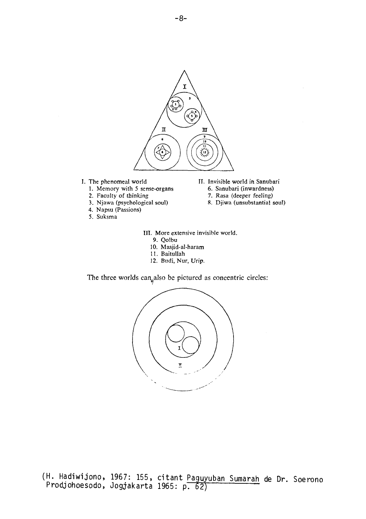

- L The phenomeal world
	- 1. Memory with 5 sense-organs
	- 2. Faculty of thinking
	- 3. Njawa (psychological soul)
	- 4. Napsu (Passions)
	- 5. Suksma
- IL Invisible world in Sanubari
	- 6. Sanubari (inwardness)
	- 7. Rasa (deeper feeling)
	- R. Djiwa (unsubstantial soul)

III. More extensive invisible world.

- 9. Qolbu
- 10. Masjid-al-haram
- 11. Baitullah
- 12. Budi, Nur, Urip.

The three worlds can also be pictured as concentric circles:



(H. Hadiwijono, 1967: 155, citant Paguyuban Sumarah de Dr. Soerono Prodjohoesodo, Jogjakarta 1965: p. 62)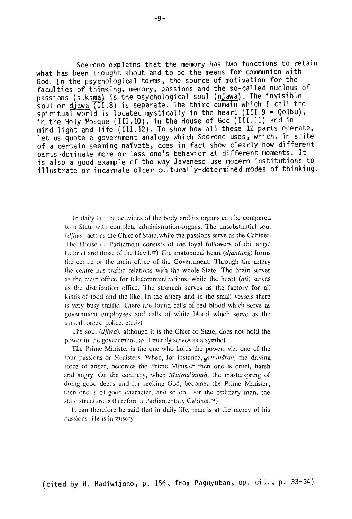Soerono explains that the memory has two functions to retain what has been thought about and to be the means for communion with God. In the psychological terms, the source of motivation for the faculties of thinking, memory, passions and the so-called nucleus of passions (suksma) is the psychological soul (njawa). The invisible soul or djawa (II.8) is separate. The third domain which I call the spiritual world is located mystically in the heart (III.9 = Qolbu), in the Holy Mosque (III.10), in the House of God (III.11) and in mind light and life (III.12). To show how all these 12 parts operate, let us quote a government analogy which Soerono uses, which, in spite of a certain seeming naiveté, does in fact show clearly how different parts dominate more or less one's behavior at different moments. It is also a good example of the way Javanese use modern institutions to illustrate or incarnate older culturally-determined modes of thinking.

ln daily the activities of the body and its organs can be compared to a State with complete administration-organs. The unsubstantial soul *(tljiwa)* acts as the Chief of State, while the passions serve as the Cabinet. The flouse of Parliament consists of the loyal followers of the angel Gabriel and those of the Devil.<sup>22</sup>) The anatomical heart *(djantung)* forms the centre oi the main office of the Government. Through the artery the centre has traffic relations with the whole State. The brain serves as the main office for telecommunications, while the heart *(ati)* serves as the distribution office. The stomach serves as the factory for ail kinds of food and the like. In the artery and in the small vessels therc is very busy traffic. There are found cells of red blood which serve as government employees and cells of white blood which serve as the armed forces, police, etc. $23$ )

The soul *(djiwa),* although it is the Chief of State, does not hold the power in the government, as it merely serves as a symbol.

The Prime Minister is the one who holds the power, viz., one of the four passions or Ministers. When, for instance, *elmmârah,* the driving force of anger, becomes the Prime Minister then one is cruel, harsh and angry. On the contrary, when *Mutmâ'innah,* the masterspring of doing good deeds and for seeking God, becomes the Prime Minister, then one is of good character, and so on. For the ordinary man, the state structure is therefore a Parliamentary Cabinet.<sup>24</sup>)

It can therefore be said that in daily life, man is at the mercy of his passions. He is in misery.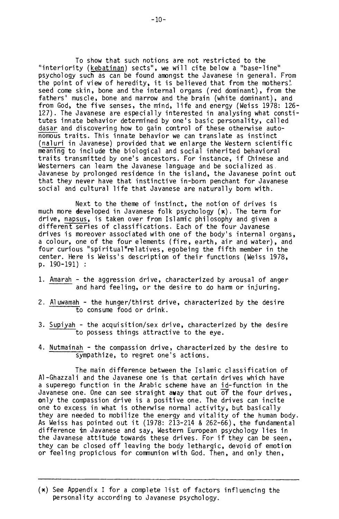To show that such notions are not restricted to the "interiority (kebatinan) sects", we will cite below a "base-line" psychology such as can be found amongst the Javanese in general. From the point of view of heredity, it is believed that from the mothers! seed come skin, bone and the internal organs (red dominant), from the fathers' muscle, bone and marrow and the brain (white dominant), and from God, the five senses, the mind, life and energy (Weiss 1978: 126- 127). The Javanese are especially interested in analysing what constitutes innate behavior determined by one's basic personality, called dasar and discovering how to gain control of these otherwise autonomous traits. This innate behavior we can translate as instinct (naluri in Javanese) provided that we enlarge the Western scientific meaning to include the biological and social inherited behavioral traits transmitted by one's ancestors. For instance, if Chinese and Westerners can learn the Javanese language and be socialized as. Javanese by prolonged residence in the island, the Javanese point out that they never have that instinctive in-born penchant for Javanese social and cultural life that Javanese are naturally born with.

Next to the theme of instinct, the notion of drives is much more developed in Javanese folk psychology (x). The term for drive, napsus, is taken over from Islamic philosophy and given a different series of classifications. Each of the four Javanese drives is moreover associated with one of the body's internal organs, a colour, one of the four elements (fire, earth, air and water), and four curious "spiritual" relatives, egobeing the fifth member in the center. Here is Weiss's description of their functions (Weiss 1978, p. 190-191) :

- 1. Amarah the aggression drive, characterized by arousal of anger and hard feeling, or the desire to do harm or injuring.
- 2. Aluwamah the hunger/thirst drive, characterized by the desire to consume food or drink.
- 3. Supiyah the acquisition/sex drive, characterized by the desire to possess things attractive to the eye.
- 4. Nutmainah the compassion drive, characterized by the desire to sympathize, to regret one's actions.

The main difference between the Islamic classification of Al-Ghazzali and the Javanese one is that certain drives which have a superego function in the Arabic scheme have an id-function in the Javanese one. One can see straight away that out of the four drives, only the compassion drive is a positive one. The drives can incite one to excess in what is otherwise normal activity, but basically they are needed to mobilize the energy and vitality of the human body. As Weiss has pointed out it (1978: 213-214 & 262-66), the fundamental difference in Javanese and say, Western European psychology lies in the Javanese attitude towards these drives. For if they can be seen, they can be closed off leaving the body lethargic, devoid of emotion or feeling propicious for communion with God. Then, and only then,

<sup>(</sup>x) See Appendix I for a complete list of factors influencing the personality according to Javanese psychology.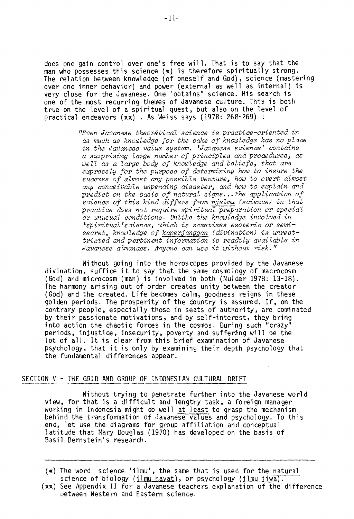does one gain control over one's free will. That is to say that the man who possesses this science  $(x)$  is therefore spiritually strong. The relation between knowledge (of oneself and God), science (mastering over one inner behavior) and power (external as well as internal) is very close for the Javanese. One 'obtains" science. His search is one of the most recurring themes of Javanese culture. This is both true on the level of a spiritual quest, but also on the level of practical endeavors (xx) . As Weiss says (1978: 268-269) :

> "Even Javanese theorétical science is practice-oriented in as mach as knowledge for the sake of knowledge has no place in the Javanese value system. 'Javanese science' contains a surprising large number of principles and proaedures, as well as a large body of knowledge and beliefs, that are expressly for the purpose of determining how to insure the success of almost any possible venture, how to overt almost any conceivable unpending disaster, and how to explain and predict on the basis of natural signs...The application of science of this kind differs from njelmu (science) in that practice does not require spiritual preparation or special or unusual conditions. Unlike the knowledge involved in ispiritual'science, which is sometimes esoteric or semisecret, knowledge *of* kaperianggan (divination) is unresttricted and pertinent information is readily available in Javanese almanacs. Anyone can use it without risk."

Without going into the horoscopes provided by the Javanese divination, suffice it to say that the same cosmology of macrocosm (God) and microcosm (man) is involved in both (Nulder 1978: 13-18). The harmony arising out of order creates unity between the creator (God) and the created. Life becomes calm, goodness reigns in these golden periods. The prosperity of the country is assured. If, on the contrary people, especially those in seats of authority, are dominated by their passionate motivations, and by self-interest, they bring into action the chaotic forces in the cosmos. During such "crazy" periods, injustice, insecurity, poverty and suffering will be the lot of ail. It is clear from this brief examination of Javanese psychology, that it is only by examining their depth psychology that the fundamental differences appear.

#### SECTION V - THE GRID AND GROUP OF INDONESIAN CULTURAL DRIFT

Without trying to penetrate further into the Javanese worl d view, for that is a difficult and lengthy task, a foreign manager working in Indonesia might do well at least to grasp the mechanism behind the transformation of Javanese values and psychology. To this end, let use the diagrams for group affiliation and conceptual latitude that Mary Douglas (1970) has developed on the basis of Basil Bernstein's research.

<sup>(</sup>x) The word science 'ilmu', the same that is used for the natural science of biology (ilmu hayat), or psychology (ilmu jiwa).

<sup>(</sup>xx) See Appendix II for a Javanese teachers explanation of the difference between Western and Eastern science.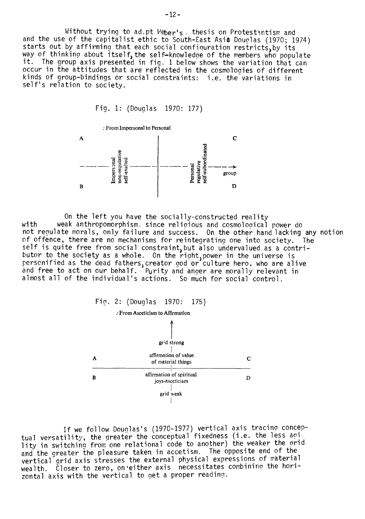Without trying to ad. pt Weber's, thesis on Protestantism and and the use of the capitalist ethic to South-East Asia Douglas (1970; 1974) starts out by affirming that each social configuration restricts, by its starts out by arriving that each social configuration restricts, by its<br>way of thinking about itself, the self-knowledge of the members who populate it. The group axis presented in fig. 1 below shows the variation that can occur in the attitudes that are reflected in the cosmologies of different kinds of group-bindings or social constraints: i.e. the variations in self's relation to society.

Fia. 1: (Douglas 1970: 177)



On the left you have the socially-constructed reality with weak anthropomorphism, since religious and cosmological power do not regulate morals, only failure and success. On the other hand lacking any notion of offence, there are no mechanisms for reintegrating one into society. The self is quite free from social constraint, but also undervalued as a contributor to the society as a whole. On the right, power in the universe is personified as the dead fathers, creator god or culture hero, who are alive and free to act on our behalf. Purity and anger are morally relevant in almost ail of the individuai's actions. So much for social control.



If we follow Douglas's (1970-1977) vertical axis tracing conceptual versatility, the greater the conceptual fixedness (i.e. the less acility in switchino from one relational code to another) the weaker the orid and the greater the pleasure taken in accetism. The opposite end of the vertical grid axis stresses the external physical expressions of material wealth. Closer to zero, on either axis necessitates combining the horizontal axis with the vertical to get a proper reading.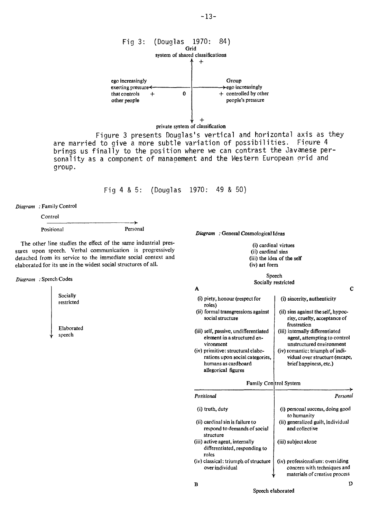

are married to give a more subtle variation of possibilities. Figure 4 brings us finally to the position where we can contrast the Javanese personality as a component of management and the Western European orid and group.

 $\, {\bf B}$ 

Fig 4 & 5: (Douglas 1970: 49 & 50)

*Diagram :* Family Control

Control

Positional Personal

The other line studies the effect of the same industrial pressures upon speech. Verbal communication is progressively detached from its service to the immediate social context and elaborated for its use in the widest social structures of ail.

→

*Diagram :* Speech Codes

Socially restricted

Elaborated speech

*Diagram :* General Cosmological Ideas

(i) cardinal virtues (ii) cardinal sins (iii) the ides of the self (iv) art form

#### Speech Socially restricted

| A                                                                                                                  |                                                                                               |
|--------------------------------------------------------------------------------------------------------------------|-----------------------------------------------------------------------------------------------|
| (i) piety, honour (respect for<br>roles)                                                                           | (i) sincerity, authenticity                                                                   |
| (ii) formal transgressions against<br>social structure                                                             | (ii) sins against the self, hypoc-<br>risy, cruelty, acceptance of<br>frustration             |
| (iii) self, passive, undifferentiated<br>element in a structured en-<br>vironment                                  | (iii) internally differentiated<br>agent, attempting to control<br>unstructured environment   |
| (iv) primitive: structural elabo-<br>rations upon social categories.<br>humans as cardboard<br>allegorical figures | $(iv)$ romantic: triumph of indi-<br>vidual over structure (escape,<br>brief happiness, etc.) |
| Family Control System                                                                                              |                                                                                               |
| Positional                                                                                                         | Personal                                                                                      |
| (i) truth, duty                                                                                                    | (i) personal success, doing good                                                              |

| (i) truth, duty                                                              | (i) personal success, doing good<br>to humanity                                                  |
|------------------------------------------------------------------------------|--------------------------------------------------------------------------------------------------|
| (ii) cardinal sin is failure to<br>respond to demands of social<br>structure | (ii) generalized guilt, individual<br>and collective                                             |
| (iii) active agent, internally<br>differentiated, responding to<br>roles     | (iii) subject alone                                                                              |
| (iv) classical: triumph of structure<br>over individual                      | (iv) professionalism: overviding<br>concern with techniques and<br>materials of creative process |

-13-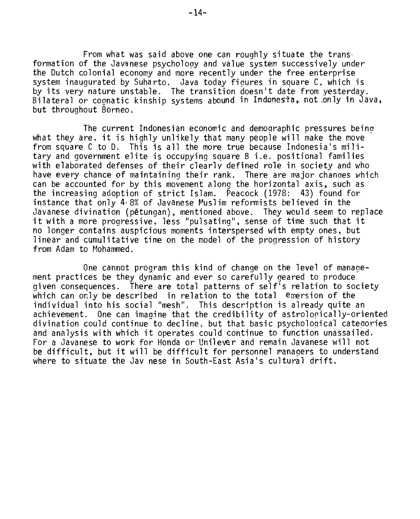From what was said above one can roughly situate the trans• formation of the Javanese psychology and value system successively under the Dutch colonial economy and more recently under the free enterprise system inaugurated by Suharto. Java today figures in square C, which is by its very nature unstable. The transition doesn't date from yesterday. Bilateral or cognatic kinship systems abound in Indonesta, not only in Java, but throughout Borneo.

The current Indonesian economic and demographic pressures being what they are. it is highly unlikely that many people will make the move from square C to D. This is all the more true because Indonesia's military and government elite is occupying square B i.e. positional families with elaborated defenses of their clearly defined role in society and who have every chance of maintaining their rank. There are major chances which can be accounted for by this movement along the horizontal axis, such as the increasing adoption of strict Islam. Peacock (1978: 43) found for instance that only 4.8% of Javanese Muslim reformists believed in the Javanese divination (pétungan), mentioned above. They would seem to replace it with a more progressive, less "pulsating", sense of time such that it no longer contains auspicious moments interspersed with empty ones, but linear and cumulitative time on the model of the progression of history from Adam to Mohammed.

One cannot program this kind of change on the level of management practices be they dynamic and ever so carefully geared to produce given consequences. There are total patterns of self's relation to society which can only be described in relation to the total émersion of the individual into his social "mesh". This description is already quite an achievement. One can imagine that the credibility of astrologically-oriented divination could continue to decline, but that basic psycholoqical categories and analysis with which it operates could continue to function unassailed. For a Javanese to work for Honda or Unilever and remain Javanese will not be difficult, but it will be difficult for personnel managers to understand where to situate the Jav nese in South-East Asia's cultural drift.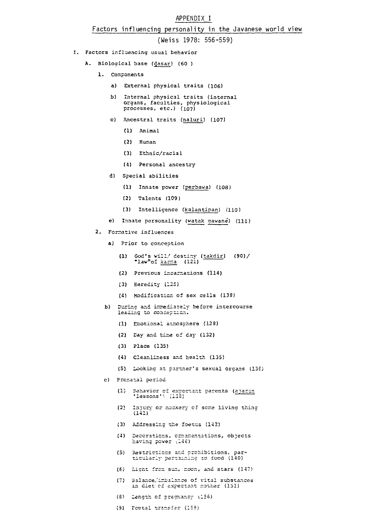#### APPENDIX I

#### Factors influencing personality in the Javanese world view

(Weiss 1978: 556-559)

- I. Factors influencing usual behavior
	- A. Biological base (dasar) (60 )
		- **1.** Components
			- a) External physical traits (106)
			- b) internai physical traits (internat organs, faculties, physiological processes, etc.) (107)
			- **c)** Ancestral traits (naluri) (107)
				- (1) Animal
				- (2) Hunan
				- (3) Ethnic/racial
				- (4) Personal ancestry
			- d) Special abilities
				- (1) Innate power (perbawa) (108)
				- (2) Talents (109)
				- (3) Intelligence (kalantipan) (110)
			- **e)** Innate personality (watak gawané) (111)
		- 2. Forrative influences
			- **a)** Prier to conception
				- **(1)** God's willf destiny (takdir) (90)/ "law" of  $\frac{1}{2}$  (121)
				- (2) Previous incarnations (114)
				- (3) Eeredity (125)
				- (4) Modification of sex cells (138)
			- b) During and innediatelv before intercourse leading to conception.
				- (1) Emotional acmcspnere (128)
				- (2) Dav and tine cf day (132)
				- (3) Place (135)
				- (4) Cleanliness and health (135)
				- (5) Locking at cartner's sexual organs (13E)
			- c) Prenatal perind
				- (1) Eehavicr cf expectant parents (aiaran 'lessons'
				- (2) Injury or nockery of some living thing (141)
				- (3) Addressing the foetus (142)
				- (4) Deccraticns, crnanentations, objects having power (146)
				- (5) Restricticns and prchibitions, particularly pertaining to focd (140)
				- (6) Licht fren son, rcen, and stars (147)
				- (7) Salance/imbalance of vital substances in diet cf expectant rocher (151)
				- (5) Lengtn cf pregnancy u156)
				- (9) Foetal transfar (159)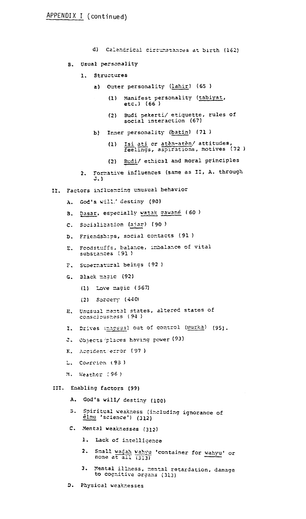- d) Calendrical circumstances at birth (162)
- B. Usual personality
	- 1. Structures
		- a) Outer personality (lahir) (65 )
			- (1) Manifest personality (tabiyat, etc.) (66 )
			- (2) Budi pekerti/ étiquette, cules of social interaction (67)
		- b) Inner personality (batin) (71)
			- (1) Isi ati or atèn-atèn/ attitudes, feelings, aspirations, motives (72 )
			- (2) Budi/ ethical and moral principles
	- 2. Formative influences (same as II, A. through J.)
- Factors influencing unusual behavior
	- A. God's will/ destiny (90)
	- B. Dasar, especially watak cawané (60 )
	- C. Socialization (ajar) (90)
	- D. Friendsbips, social contacts (91 )
	- E. Foodstuffs, balance, imbalance of vital<br>substances (91)
	- F. Supernatural beings (92)
	- G. Black magic (92)
		- (1) Love =agio (567)
		- (2) Sorcery (440)
	- B. Unusual mental states, altered states of conscicusnss (94 )
	- I. Drives (mapsus) out of control (murka) (95).
	- Objects places having power (93) з.
	- K. Accident:error (97 )
	- L. Coercion (93)
	- M. Weather :96)

#### III. Enabling factors (99)

- A. God's will/ destinv (100)
- B. Spiritual weakness (including ignorance of èlmu 'science') (312)
- C. Mental weaknesses (3/2)
	- 1. Lack of intelligence
	- 2. Small wadah wahyu 'container for wahyu' or none at all (313)
	- 3. Mental illness, mental retardation, damage to cognitive organs (313)
- D. Physical weaknesses